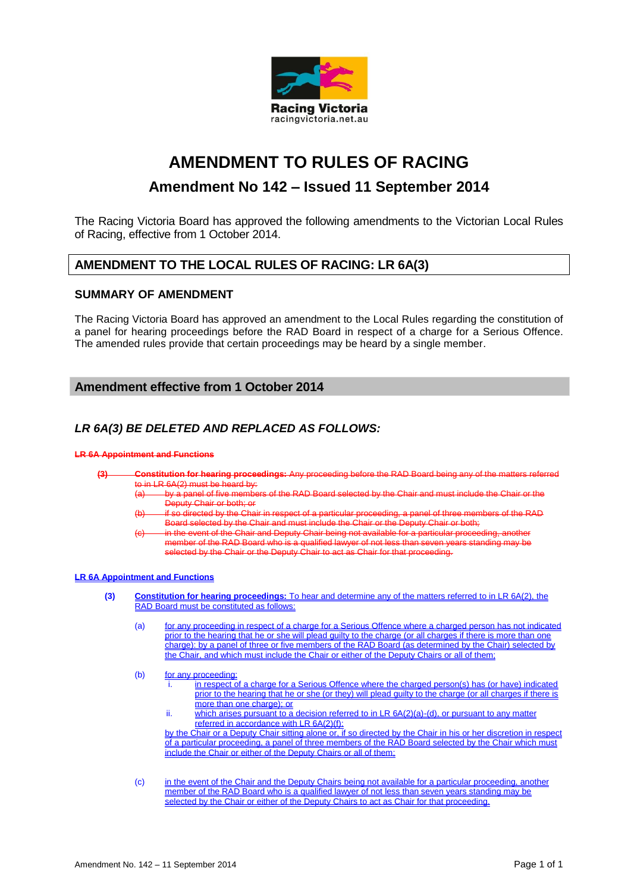

# **AMENDMENT TO RULES OF RACING**

## **Amendment No 142 – Issued 11 September 2014**

The Racing Victoria Board has approved the following amendments to the Victorian Local Rules of Racing, effective from 1 October 2014.

### **AMENDMENT TO THE LOCAL RULES OF RACING: LR 6A(3)**

#### **SUMMARY OF AMENDMENT**

The Racing Victoria Board has approved an amendment to the Local Rules regarding the constitution of a panel for hearing proceedings before the RAD Board in respect of a charge for a Serious Offence. The amended rules provide that certain proceedings may be heard by a single member.

### **Amendment effective from 1 October 2014**

### *LR 6A(3) BE DELETED AND REPLACED AS FOLLOWS:*

#### **LR 6A Appointment and Functions**

- **(3) Constitution for hearing proceedings:** Any proceeding before the RAD Board being any of the matters referred
	- to in LR 6A(2) must be heard by:<br>(a) by a panel of five members of the RAD Board selected by the Chair and must include the Chair or the Deputy Chair or both; or
		- (b) if so directed by the Chair in respect of a particular proceeding, a panel of three members of the RAD Board selected by the Chair and must include the Chair or the Deputy Chair or both;
		- (c) in the event of the Chair and Deputy Chair being not available for a particular proceeding, another member of the RAD Board who is a qualified lawyer of not less than seven years standing may be selected by the Chair or the Deputy Chair to act as Chair for that proceeding.

#### **LR 6A Appointment and Functions**

- **(3) Constitution for hearing proceedings:** To hear and determine any of the matters referred to in LR 6A(2), the RAD Board must be constituted as follows:
	- (a) for any proceeding in respect of a charge for a Serious Offence where a charged person has not indicated prior to the hearing that he or she will plead guilty to the charge (or all charges if there is more than one charge): by a panel of three or five members of the RAD Board (as determined by the Chair) selected by and which must include the Chair or either of the Deputy Chairs or all of them;
	- (b) for any proceeding:
		- in respect of a charge for a Serious Offence where the charged person(s) has (or have) indicated prior to the hearing that he or she (or they) will plead guilty to the charge (or all charges if there is more than one charge); or
		- ii. which arises pursuant to a decision referred to in LR 6A(2)(a)-(d), or pursuant to any matter referred in accordance with LR 6A(2)(f):

by the Chair or a Deputy Chair sitting alone or, if so directed by the Chair in his or her discretion in respect of a particular proceeding, a panel of three members of the RAD Board selected by the Chair which must include the Chair or either of the Deputy Chairs or all of them;

(c) in the event of the Chair and the Deputy Chairs being not available for a particular proceeding, another member of the RAD Board who is a qualified lawyer of not less than seven years standing may be selected by the Chair or either of the Deputy Chairs to act as Chair for that proceeding.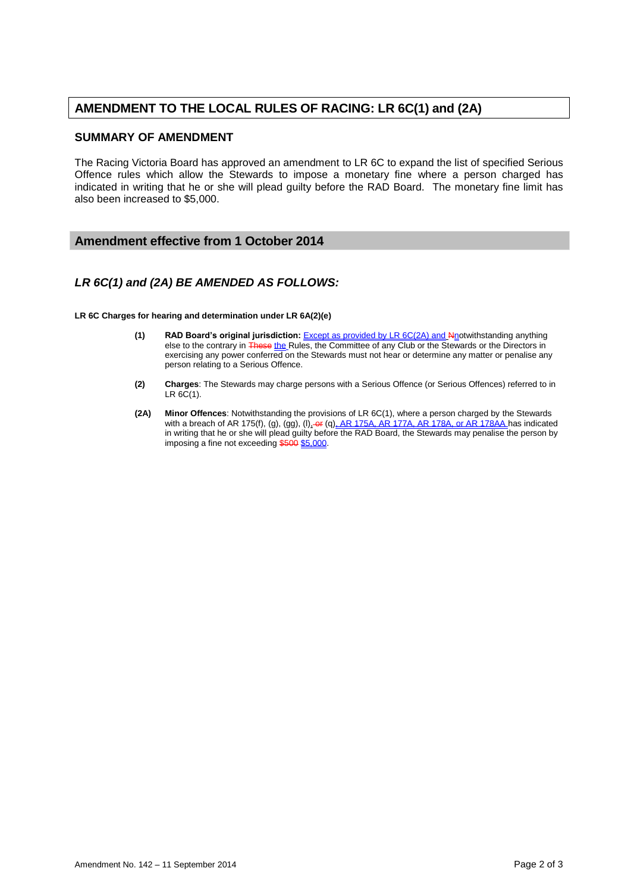## **AMENDMENT TO THE LOCAL RULES OF RACING: LR 6C(1) and (2A)**

### **SUMMARY OF AMENDMENT**

The Racing Victoria Board has approved an amendment to LR 6C to expand the list of specified Serious Offence rules which allow the Stewards to impose a monetary fine where a person charged has indicated in writing that he or she will plead guilty before the RAD Board. The monetary fine limit has also been increased to \$5,000.

### **Amendment effective from 1 October 2014**

### *LR 6C(1) and (2A) BE AMENDED AS FOLLOWS:*

**LR 6C Charges for hearing and determination under LR 6A(2)(e)**

- **(1) RAD Board's original jurisdiction:** <u>Except as provided by LR 6C(2A) and Nn</u>otwithstanding anything else to the contrary in <del>These <u>the</u> R</del>ules, the Committee of any Club or the Stewards or the Directors in exercising any power conferred on the Stewards must not hear or determine any matter or penalise any person relating to a Serious Offence.
- **(2) Charges**: The Stewards may charge persons with a Serious Offence (or Serious Offences) referred to in  $LR 6C(1)$ .
- **(2A) Minor Offences**: Notwithstanding the provisions of LR 6C(1), where a person charged by the Stewards with a breach of AR 175(f), (g), (gg), (l)<u>, өг</u> (q)<u>, AR 175A, AR 177A, AR 178A, or AR 178AA </u>has indicated in writing that he or she will plead guilty before the RAD Board, the Stewards may penalise the person by imposing a fine not exceeding \$500 \$5,000.